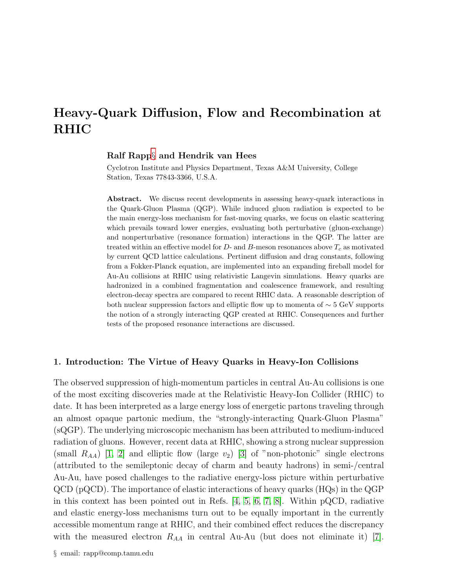# Heavy-Quark Diffusion, Flow and Recombination at RHIC

# Ralf Rapp[§](#page-0-0) and Hendrik van Hees

Cyclotron Institute and Physics Department, Texas A&M University, College Station, Texas 77843-3366, U.S.A.

Abstract. We discuss recent developments in assessing heavy-quark interactions in the Quark-Gluon Plasma (QGP). While induced gluon radiation is expected to be the main energy-loss mechanism for fast-moving quarks, we focus on elastic scattering which prevails toward lower energies, evaluating both perturbative (gluon-exchange) and nonperturbative (resonance formation) interactions in the QGP. The latter are treated within an effective model for  $D$ - and  $B$ -meson resonances above  $T_c$  as motivated by current QCD lattice calculations. Pertinent diffusion and drag constants, following from a Fokker-Planck equation, are implemented into an expanding fireball model for Au-Au collisions at RHIC using relativistic Langevin simulations. Heavy quarks are hadronized in a combined fragmentation and coalescence framework, and resulting electron-decay spectra are compared to recent RHIC data. A reasonable description of both nuclear suppression factors and elliptic flow up to momenta of  $\sim 5$  GeV supports the notion of a strongly interacting QGP created at RHIC. Consequences and further tests of the proposed resonance interactions are discussed.

# 1. Introduction: The Virtue of Heavy Quarks in Heavy-Ion Collisions

<span id="page-0-0"></span>The observed suppression of high-momentum particles in central Au-Au collisions is one of the most exciting discoveries made at the Relativistic Heavy-Ion Collider (RHIC) to date. It has been interpreted as a large energy loss of energetic partons traveling through an almost opaque partonic medium, the "strongly-interacting Quark-Gluon Plasma" (sQGP). The underlying microscopic mechanism has been attributed to medium-induced radiation of gluons. However, recent data at RHIC, showing a strong nuclear suppression (small  $R_{AA}$ ) [\[1,](#page-7-0) [2\]](#page-7-1) and elliptic flow (large  $v_2$ ) [\[3\]](#page-7-2) of "non-photonic" single electrons (attributed to the semileptonic decay of charm and beauty hadrons) in semi-/central Au-Au, have posed challenges to the radiative energy-loss picture within perturbative QCD (pQCD). The importance of elastic interactions of heavy quarks (HQs) in the QGP in this context has been pointed out in Refs.  $[4, 5, 6, 7, 8]$  $[4, 5, 6, 7, 8]$  $[4, 5, 6, 7, 8]$  $[4, 5, 6, 7, 8]$  $[4, 5, 6, 7, 8]$ . Within pQCD, radiative and elastic energy-loss mechanisms turn out to be equally important in the currently accessible momentum range at RHIC, and their combined effect reduces the discrepancy with the measured electron  $R_{AA}$  in central Au-Au (but does not eliminate it) [\[7\]](#page-7-6).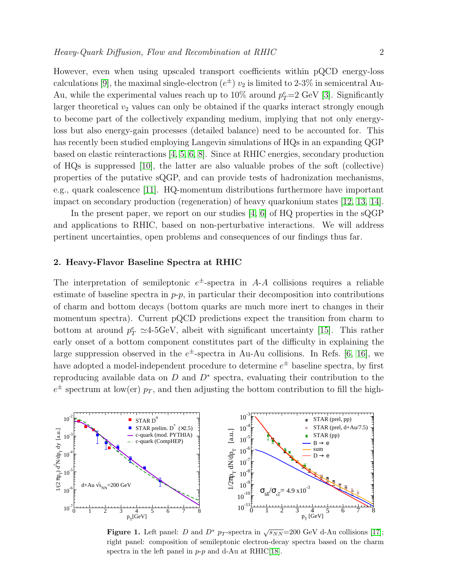However, even when using upscaled transport coefficients within pQCD energy-loss calculations [\[9\]](#page-7-8), the maximal single-electron  $(e^{\pm}) v_2$  is limited to 2-3% in semicentral Au-Au, while the experimental values reach up to  $10\%$  around  $p_T^e=2$  GeV [\[3\]](#page-7-2). Significantly larger theoretical  $v_2$  values can only be obtained if the quarks interact strongly enough to become part of the collectively expanding medium, implying that not only energyloss but also energy-gain processes (detailed balance) need to be accounted for. This has recently been studied employing Langevin simulations of HQs in an expanding QGP based on elastic reinteractions [\[4,](#page-7-3) [5,](#page-7-4) [6,](#page-7-5) [8\]](#page-7-7). Since at RHIC energies, secondary production of HQs is suppressed [\[10\]](#page-7-9), the latter are also valuable probes of the soft (collective) properties of the putative sQGP, and can provide tests of hadronization mechanisms, e.g., quark coalescence [\[11\]](#page-7-10). HQ-momentum distributions furthermore have important impact on secondary production (regeneration) of heavy quarkonium states [\[12,](#page-7-11) [13,](#page-7-12) [14\]](#page-7-13).

In the present paper, we report on our studies [\[4,](#page-7-3) [6\]](#page-7-5) of HQ properties in the sQGP and applications to RHIC, based on non-perturbative interactions. We will address pertinent uncertainties, open problems and consequences of our findings thus far.

### <span id="page-1-1"></span>2. Heavy-Flavor Baseline Spectra at RHIC

The interpretation of semileptonic  $e^{\pm}$ -spectra in A-A collisions requires a reliable estimate of baseline spectra in  $p-p$ , in particular their decomposition into contributions of charm and bottom decays (bottom quarks are much more inert to changes in their momentum spectra). Current pQCD predictions expect the transition from charm to bottom at around  $p_T^e \simeq 4$ -5GeV, albeit with significant uncertainty [\[15\]](#page-7-14). This rather early onset of a bottom component constitutes part of the difficulty in explaining the large suppression observed in the  $e^{\pm}$ -spectra in Au-Au collisions. In Refs. [\[6,](#page-7-5) [16\]](#page-7-15), we have adopted a model-independent procedure to determine  $e^{\pm}$  baseline spectra, by first reproducing available data on  $D$  and  $D^*$  spectra, evaluating their contribution to the  $e^{\pm}$  spectrum at low(er)  $p_T$ , and then adjusting the bottom contribution to fill the high-



<span id="page-1-0"></span>Figure 1. Left panel: D and  $D^*$  p<sub>T</sub>-spectra in  $\sqrt{s_{NN}}$ =200 GeV d-Au collisions [\[17\]](#page-7-16); right panel: composition of semileptonic electron-decay spectra based on the charm spectra in the left panel in  $p-p$  and d-Au at RHIC[\[18\]](#page-7-17).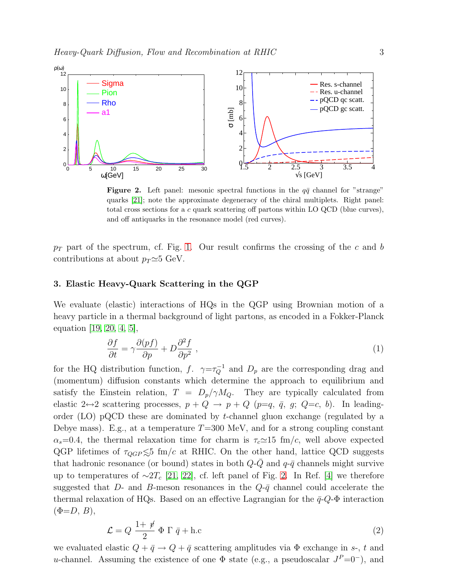

<span id="page-2-0"></span>**Figure 2.** Left panel: mesonic spectral functions in the  $q\bar{q}$  channel for "strange" quarks [\[21\]](#page-7-18); note the approximate degeneracy of the chiral multiplets. Right panel: total cross sections for a c quark scattering off partons within LO QCD (blue curves), and off antiquarks in the resonance model (red curves).

 $p_T$  part of the spectrum, cf. Fig. [1.](#page-1-0) Our result confirms the crossing of the c and b contributions at about  $p_T \simeq 5$  GeV.

#### <span id="page-2-2"></span>3. Elastic Heavy-Quark Scattering in the QGP

We evaluate (elastic) interactions of HQs in the QGP using Brownian motion of a heavy particle in a thermal background of light partons, as encoded in a Fokker-Planck equation [\[19,](#page-7-19) [20,](#page-7-20) [4,](#page-7-3) [5\]](#page-7-4),

$$
\frac{\partial f}{\partial t} = \gamma \frac{\partial (pf)}{\partial p} + D \frac{\partial^2 f}{\partial p^2} \,,\tag{1}
$$

for the HQ distribution function, f.  $\gamma = \tau_Q^{-1}$  and  $D_p$  are the corresponding drag and (momentum) diffusion constants which determine the approach to equilibrium and satisfy the Einstein relation,  $T = D_p/\gamma M_Q$ . They are typically calculated from elastic 2 $\leftrightarrow$ 2 scattering processes,  $p + Q \rightarrow p + Q$  ( $p=q, \bar{q}, g; Q=c, b$ ). In leadingorder (LO) pQCD these are dominated by t-channel gluon exchange (regulated by a Debye mass). E.g., at a temperature  $T=300$  MeV, and for a strong coupling constant  $\alpha_s=0.4$ , the thermal relaxation time for charm is  $\tau_c\simeq 15$  fm/c, well above expected QGP lifetimes of  $\tau_{QGP} \lesssim 5$  fm/c at RHIC. On the other hand, lattice QCD suggests that hadronic resonance (or bound) states in both  $Q-Q$  and  $q-\bar{q}$  channels might survive up to temperatures of  $\sim$ 2T<sub>c</sub> [\[21,](#page-7-18) [22\]](#page-7-21), cf. left panel of Fig. [2.](#page-2-0) In Ref. [\[4\]](#page-7-3) we therefore suggested that D- and B-meson resonances in the  $Q-\bar{q}$  channel could accelerate the thermal relaxation of HQs. Based on an effective Lagrangian for the  $\bar{q}$ -Q- $\Phi$  interaction  $(\Phi = D, B),$ 

$$
\mathcal{L} = Q \frac{1 + \psi}{2} \Phi \Gamma \bar{q} + \text{h.c}
$$
 (2)

<span id="page-2-1"></span>we evaluated elastic  $Q + \bar{q} \rightarrow Q + \bar{q}$  scattering amplitudes via  $\Phi$  exchange in s-, t and u-channel. Assuming the existence of one  $\Phi$  state (e.g., a pseudoscalar  $J^P=0^-$ ), and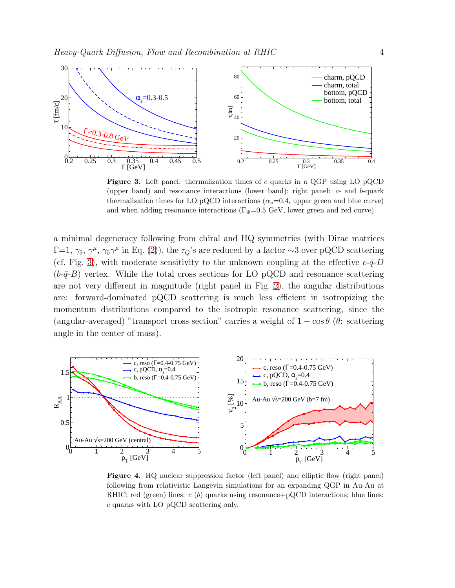

<span id="page-3-0"></span>Figure 3. Left panel: thermalization times of  $c$  quarks in a QGP using LO pQCD (upper band) and resonance interactions (lower band); right panel: c- and b-quark thermalization times for LO pQCD interactions ( $\alpha_s$ =0.4, upper green and blue curve) and when adding resonance interactions ( $\Gamma_{\Phi}$ =0.5 GeV, lower green and red curve).

a minimal degeneracy following from chiral and HQ symmetries (with Dirac matrices  $\Gamma=1, \gamma_5, \gamma^{\mu}, \gamma_5\gamma^{\mu}$  in Eq. [\(2\)](#page-2-1)), the  $\tau_Q$ 's are reduced by a factor ∼3 over pQCD scattering (cf. Fig. [3\)](#page-3-0), with moderate sensitivity to the unknown coupling at the effective  $c$ - $\bar{q}$ - $D$  $(b-\bar{q}-B)$  vertex. While the total cross sections for LO pQCD and resonance scattering are not very different in magnitude (right panel in Fig. [2\)](#page-2-0), the angular distributions are: forward-dominated pQCD scattering is much less efficient in isotropizing the momentum distributions compared to the isotropic resonance scattering, since the (angular-averaged) "transport cross section" carries a weight of  $1 - \cos \theta$  ( $\theta$ : scattering angle in the center of mass).



<span id="page-3-1"></span>**Figure 4.** HQ nuclear suppression factor (left panel) and elliptic flow (right panel) following from relativistic Langevin simulations for an expanding QGP in Au-Au at RHIC; red (green) lines:  $c(b)$  quarks using resonance+pQCD interactions; blue lines: c quarks with LO pQCD scattering only.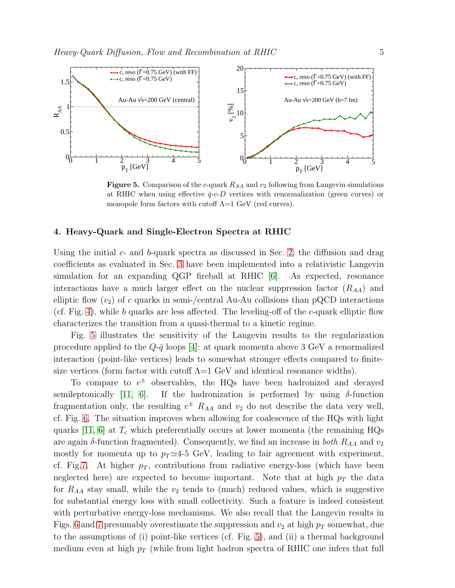

<span id="page-4-0"></span>Figure 5. Comparison of the c-quark  $R_{AA}$  and  $v_2$  following from Langevin simulations at RHIC when using effective  $\bar{q}$ -c-D vertices with renormalization (green curves) or monopole form factors with cutoff  $\Lambda=1$  GeV (red curves).

# 4. Heavy-Quark and Single-Electron Spectra at RHIC

Using the initial  $c$ - and  $b$ -quark spectra as discussed in Sec. [2,](#page-1-1) the diffusion and drag coefficients as evaluated in Sec. [3](#page-2-2) have been implemented into a relativistic Langevin simulation for an expanding QGP fireball at RHIC [\[6\]](#page-7-5). As expected, resonance interactions have a much larger effect on the nuclear suppression factor  $(R_{AA})$  and elliptic flow  $(v_2)$  of c quarks in semi-/central Au-Au collisions than pQCD interactions (cf. Fig. [4\)](#page-3-1), while b quarks are less affected. The leveling-off of the c-quark elliptic flow characterizes the transition from a quasi-thermal to a kinetic regime.

Fig. [5](#page-4-0) illustrates the sensitivity of the Langevin results to the regularization procedure applied to the  $Q-\bar{q}$  loops [\[4\]](#page-7-3): at quark momenta above 3 GeV a renormalized interaction (point-like vertices) leads to somewhat stronger effects compared to finitesize vertices (form factor with cutoff  $\Lambda = 1$  GeV and identical resonance widths).

To compare to  $e^{\pm}$  observables, the HQs have been hadronized and decayed semileptonically [\[11,](#page-7-10) [6\]](#page-7-5). If the hadronization is performed by using  $\delta$ -function fragmentation only, the resulting  $e^{\pm}$   $R_{AA}$  and  $v_2$  do not describe the data very well, cf. Fig. [6.](#page-5-0) The situation improves when allowing for coalescence of the HQs with light quarks [\[11,](#page-7-10) [6\]](#page-7-5) at  $T_c$  which preferentially occurs at lower momenta (the remaining HQs are again  $\delta$ -function fragmented). Consequently, we find an increase in *both*  $R_{AA}$  and  $v_2$ mostly for momenta up to  $p_T \simeq 4-5$  GeV, leading to fair agreement with experiment, cf. Fig[.7.](#page-5-1) At higher  $p<sub>T</sub>$ , contributions from radiative energy-loss (which have been neglected here) are expected to become important. Note that at high  $p_T$  the data for  $R_{AA}$  stay small, while the  $v_2$  tends to (much) reduced values, which is suggestive for substantial energy loss with small collectivity. Such a feature is indeed consistent with perturbative energy-loss mechanisms. We also recall that the Langevin results in Figs. [6](#page-5-0) and [7](#page-5-1) presumably overestimate the suppression and  $v_2$  at high  $p_T$  somewhat, due to the assumptions of (i) point-like vertices (cf. Fig. [5\)](#page-4-0), and (ii) a thermal background medium even at high  $p_T$  (while from light hadron spectra of RHIC one infers that full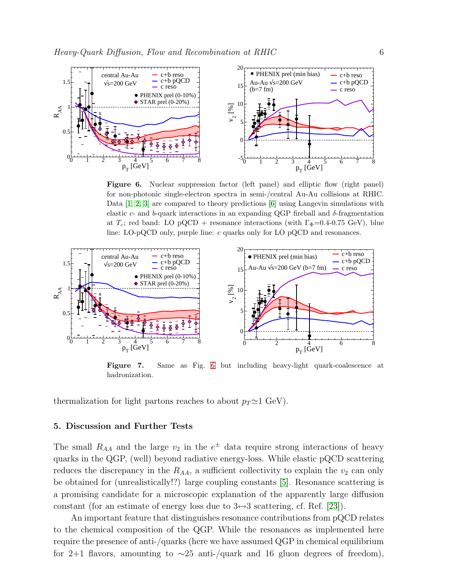

<span id="page-5-0"></span>Figure 6. Nuclear suppression factor (left panel) and elliptic flow (right panel) for non-photonic single-electron spectra in semi-/central Au-Au collisions at RHIC. Data [\[1,](#page-7-0) [2,](#page-7-1) [3\]](#page-7-2) are compared to theory predictions [\[6\]](#page-7-5) using Langevin simulations with elastic c- and b-quark interactions in an expanding QGP fireball and  $\delta$ -fragmentation at  $T_c$ ; red band: LO pQCD + resonance interactions (with  $\Gamma_{\Phi}$ =0.4-0.75 GeV), blue line: LO-pQCD only, purple line:  $c$  quarks only for LO pQCD and resonances.



<span id="page-5-1"></span>Figure 7. Same as Fig. [6](#page-5-0) but including heavy-light quark-coalescence at hadronization.

thermalization for light partons reaches to about  $p_T \simeq 1$  GeV).

#### 5. Discussion and Further Tests

The small  $R_{AA}$  and the large  $v_2$  in the  $e^{\pm}$  data require strong interactions of heavy quarks in the QGP, (well) beyond radiative energy-loss. While elastic pQCD scattering reduces the discrepancy in the  $R_{AA}$ , a sufficient collectivity to explain the  $v_2$  can only be obtained for (unrealistically!?) large coupling constants [\[5\]](#page-7-4). Resonance scattering is a promising candidate for a microscopic explanation of the apparently large diffusion constant (for an estimate of energy loss due to  $3 \leftrightarrow 3$  scattering, cf. Ref. [\[23\]](#page-7-22)).

An important feature that distinguishes resonance contributions from pQCD relates to the chemical composition of the QGP. While the resonances as implemented here require the presence of anti-/quarks (here we have assumed QGP in chemical equilibrium for 2+1 flavors, amounting to  $\sim$ 25 anti-/quark and 16 gluon degrees of freedom),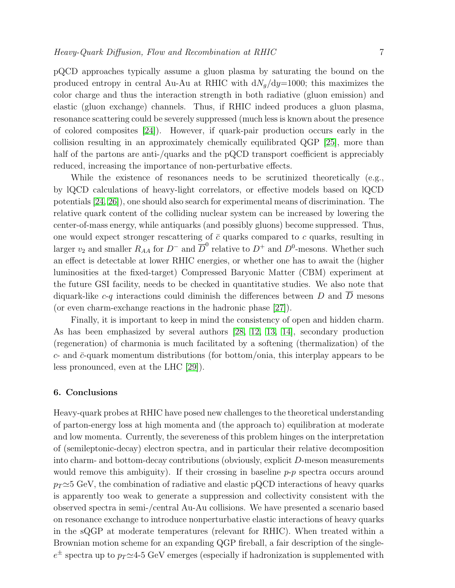pQCD approaches typically assume a gluon plasma by saturating the bound on the produced entropy in central Au-Au at RHIC with  $dN_q/dy=1000$ ; this maximizes the color charge and thus the interaction strength in both radiative (gluon emission) and elastic (gluon exchange) channels. Thus, if RHIC indeed produces a gluon plasma, resonance scattering could be severely suppressed (much less is known about the presence of colored composites [\[24\]](#page-7-23)). However, if quark-pair production occurs early in the collision resulting in an approximately chemically equilibrated QGP [\[25\]](#page-7-24), more than half of the partons are anti-/quarks and the pQCD transport coefficient is appreciably reduced, increasing the importance of non-perturbative effects.

While the existence of resonances needs to be scrutinized theoretically (e.g., by lQCD calculations of heavy-light correlators, or effective models based on lQCD potentials [\[24,](#page-7-23) [26\]](#page-7-25)), one should also search for experimental means of discrimination. The relative quark content of the colliding nuclear system can be increased by lowering the center-of-mass energy, while antiquarks (and possibly gluons) become suppressed. Thus, one would expect stronger rescattering of  $\bar{c}$  quarks compared to c quarks, resulting in larger  $v_2$  and smaller  $R_{AA}$  for  $D^-$  and  $\overline{D}^0$  relative to  $D^+$  and  $D^0$ -mesons. Whether such an effect is detectable at lower RHIC energies, or whether one has to await the (higher luminosities at the fixed-target) Compressed Baryonic Matter (CBM) experiment at the future GSI facility, needs to be checked in quantitative studies. We also note that diquark-like c-q interactions could diminish the differences between D and  $\overline{D}$  mesons (or even charm-exchange reactions in the hadronic phase [\[27\]](#page-7-26)).

Finally, it is important to keep in mind the consistency of open and hidden charm. As has been emphasized by several authors [\[28,](#page-7-27) [12,](#page-7-11) [13,](#page-7-12) [14\]](#page-7-13), secondary production (regeneration) of charmonia is much facilitated by a softening (thermalization) of the  $c$ - and  $\bar{c}$ -quark momentum distributions (for bottom/onia, this interplay appears to be less pronounced, even at the LHC [\[29\]](#page-7-28)).

# 6. Conclusions

Heavy-quark probes at RHIC have posed new challenges to the theoretical understanding of parton-energy loss at high momenta and (the approach to) equilibration at moderate and low momenta. Currently, the severeness of this problem hinges on the interpretation of (semileptonic-decay) electron spectra, and in particular their relative decomposition into charm- and bottom-decay contributions (obviously, explicit D-meson measurements would remove this ambiguity). If their crossing in baseline  $p-p$  spectra occurs around  $p_T \simeq 5$  GeV, the combination of radiative and elastic pQCD interactions of heavy quarks is apparently too weak to generate a suppression and collectivity consistent with the observed spectra in semi-/central Au-Au collisions. We have presented a scenario based on resonance exchange to introduce nonperturbative elastic interactions of heavy quarks in the sQGP at moderate temperatures (relevant for RHIC). When treated within a Brownian motion scheme for an expanding QGP fireball, a fair description of the single $e^{\pm}$  spectra up to  $p_T \simeq 4.5~{\rm GeV}$  emerges (especially if hadronization is supplemented with